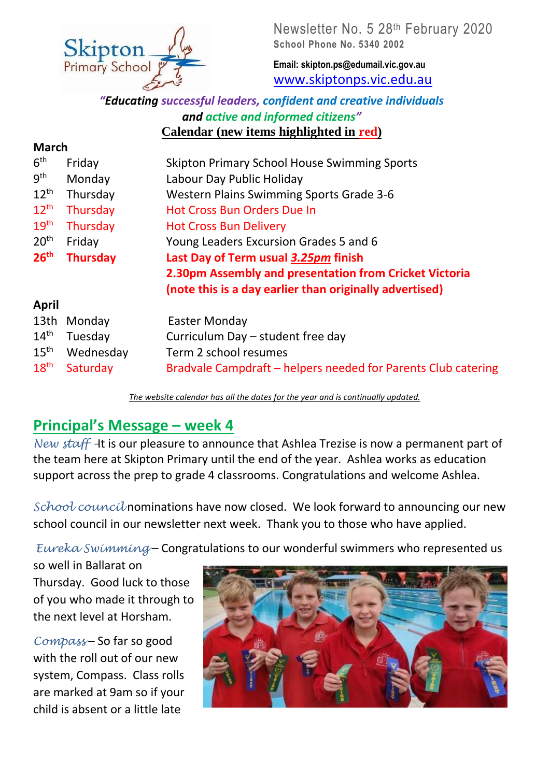

Newsletter No. 5 28<sup>th</sup> February 2020 **School Phone No. 5340 2002**

**Email: skipton.ps@edumail.vic.gov.au** [www.skiptonps.vic.edu.au](http://www.skiptonps.vic.edu.au/)

#### *"Educating successful leaders, confident and creative individuals and active and informed citizens"* **Calendar (new items highlighted in red)**

| <b>March</b>     |                 |                                                               |  |  |
|------------------|-----------------|---------------------------------------------------------------|--|--|
| 6 <sup>th</sup>  | Friday          | <b>Skipton Primary School House Swimming Sports</b>           |  |  |
| 9 <sup>th</sup>  | Monday          | Labour Day Public Holiday                                     |  |  |
| $12^{\text{th}}$ | Thursday        | Western Plains Swimming Sports Grade 3-6                      |  |  |
| $12^{th}$        | Thursday        | <b>Hot Cross Bun Orders Due In</b>                            |  |  |
| 19 <sup>th</sup> | Thursday        | <b>Hot Cross Bun Delivery</b>                                 |  |  |
| 20 <sup>th</sup> | Friday          | Young Leaders Excursion Grades 5 and 6                        |  |  |
| 26 <sup>th</sup> | <b>Thursday</b> | Last Day of Term usual 3.25pm finish                          |  |  |
|                  |                 | 2.30pm Assembly and presentation from Cricket Victoria        |  |  |
|                  |                 | (note this is a day earlier than originally advertised)       |  |  |
| April            |                 |                                                               |  |  |
| 13th             | Monday          | Easter Monday                                                 |  |  |
| 14 <sup>th</sup> | Tuesday         | Curriculum Day - student free day                             |  |  |
| 15 <sup>th</sup> | Wednesday       | Term 2 school resumes                                         |  |  |
| 18 <sup>th</sup> | Saturday        | Bradvale Campdraft - helpers needed for Parents Club catering |  |  |

*The website calendar has all the dates for the year and is continually updated.*

### **Principal's Message – week 4**

*New staff It* is our pleasure to announce that Ashlea Trezise is now a permanent part of the team here at Skipton Primary until the end of the year. Ashlea works as education support across the prep to grade 4 classrooms. Congratulations and welcome Ashlea.

*School council* nominations have now closed. We look forward to announcing our new school council in our newsletter next week. Thank you to those who have applied.

*Eureka Swimming* – Congratulations to our wonderful swimmers who represented us

so well in Ballarat on Thursday. Good luck to those of you who made it through to the next level at Horsham.

*Compass* – So far so good with the roll out of our new system, Compass. Class rolls are marked at 9am so if your child is absent or a little late

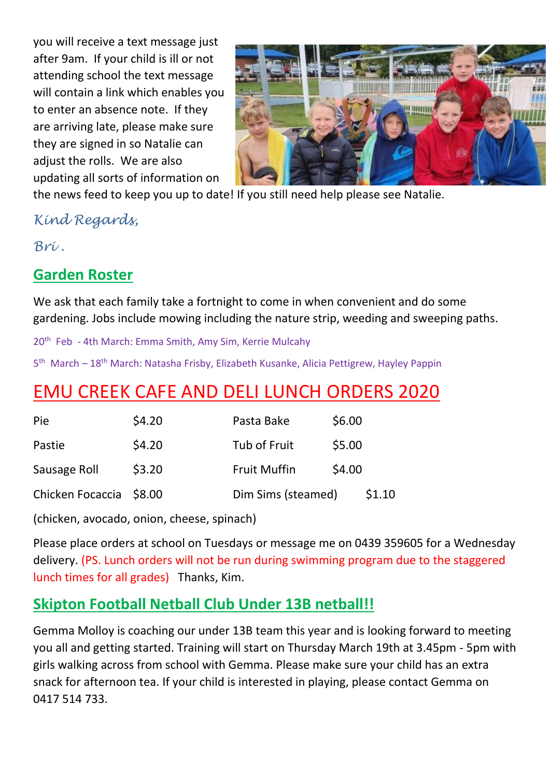you will receive a text message just after 9am. If your child is ill or not attending school the text message will contain a link which enables you to enter an absence note. If they are arriving late, please make sure they are signed in so Natalie can adjust the rolls. We are also updating all sorts of information on



the news feed to keep you up to date! If you still need help please see Natalie.

*Kind Regards,*

*Bri .*

## **Garden Roster**

We ask that each family take a fortnight to come in when convenient and do some gardening. Jobs include mowing including the nature strip, weeding and sweeping paths.

20<sup>th</sup> Feb - 4th March: Emma Smith, Amy Sim, Kerrie Mulcahy

5<sup>th</sup> March – 18<sup>th</sup> March: Natasha Frisby, Elizabeth Kusanke, Alicia Pettigrew, Hayley Pappin

# EMU CREEK CAFE AND DELI LUNCH ORDERS 2020

| Pie                     | \$4.20 | Pasta Bake          | \$6.00 |
|-------------------------|--------|---------------------|--------|
| Pastie                  | \$4.20 | Tub of Fruit        | \$5.00 |
| Sausage Roll            | \$3.20 | <b>Fruit Muffin</b> | \$4.00 |
| Chicken Focaccia \$8.00 |        | Dim Sims (steamed)  | \$1.10 |

(chicken, avocado, onion, cheese, spinach)

Please place orders at school on Tuesdays or message me on 0439 359605 for a Wednesday delivery. (PS. Lunch orders will not be run during swimming program due to the staggered lunch times for all grades) Thanks, Kim.

## **Skipton Football Netball Club Under 13B netball!!**

Gemma Molloy is coaching our under 13B team this year and is looking forward to meeting you all and getting started. Training will start on Thursday March 19th at 3.45pm - 5pm with girls walking across from school with Gemma. Please make sure your child has an extra snack for afternoon tea. If your child is interested in playing, please contact Gemma on 0417 514 733.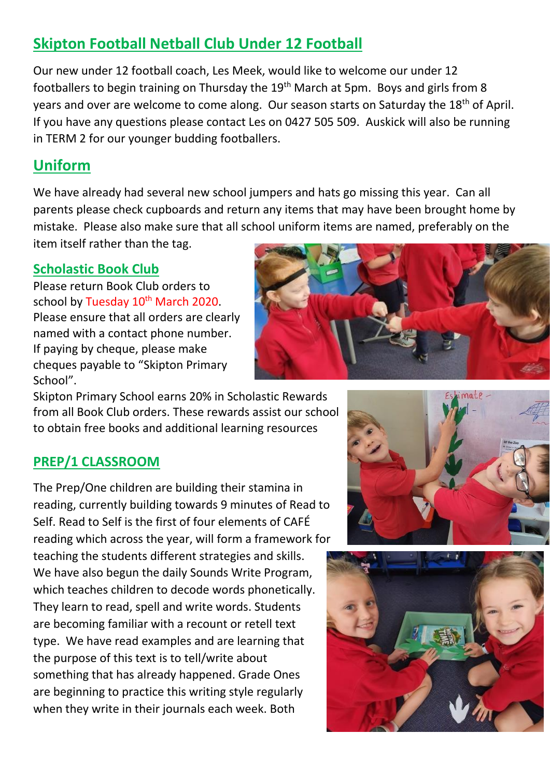## **Skipton Football Netball Club Under 12 Football**

Our new under 12 football coach, Les Meek, would like to welcome our under 12 footballers to begin training on Thursday the 19<sup>th</sup> March at 5pm. Boys and girls from 8 years and over are welcome to come along. Our season starts on Saturday the 18<sup>th</sup> of April. If you have any questions please contact Les on 0427 505 509. Auskick will also be running in TERM 2 for our younger budding footballers.

## **Uniform**

We have already had several new school jumpers and hats go missing this year. Can all parents please check cupboards and return any items that may have been brought home by mistake. Please also make sure that all school uniform items are named, preferably on the item itself rather than the tag.

#### **Scholastic Book Club**

Please return Book Club orders to school by Tuesday 10<sup>th</sup> March 2020. Please ensure that all orders are clearly named with a contact phone number. If paying by cheque, please make cheques payable to "Skipton Primary School".



Skipton Primary School earns 20% in Scholastic Rewards from all Book Club orders. These rewards assist our school to obtain free books and additional learning resources

#### **PREP/1 CLASSROOM**

The Prep/One children are building their stamina in reading, currently building towards 9 minutes of Read to Self. Read to Self is the first of four elements of CAFÉ reading which across the year, will form a framework for teaching the students different strategies and skills. We have also begun the daily Sounds Write Program, which teaches children to decode words phonetically. They learn to read, spell and write words. Students are becoming familiar with a recount or retell text type. We have read examples and are learning that the purpose of this text is to tell/write about something that has already happened. Grade Ones are beginning to practice this writing style regularly when they write in their journals each week. Both